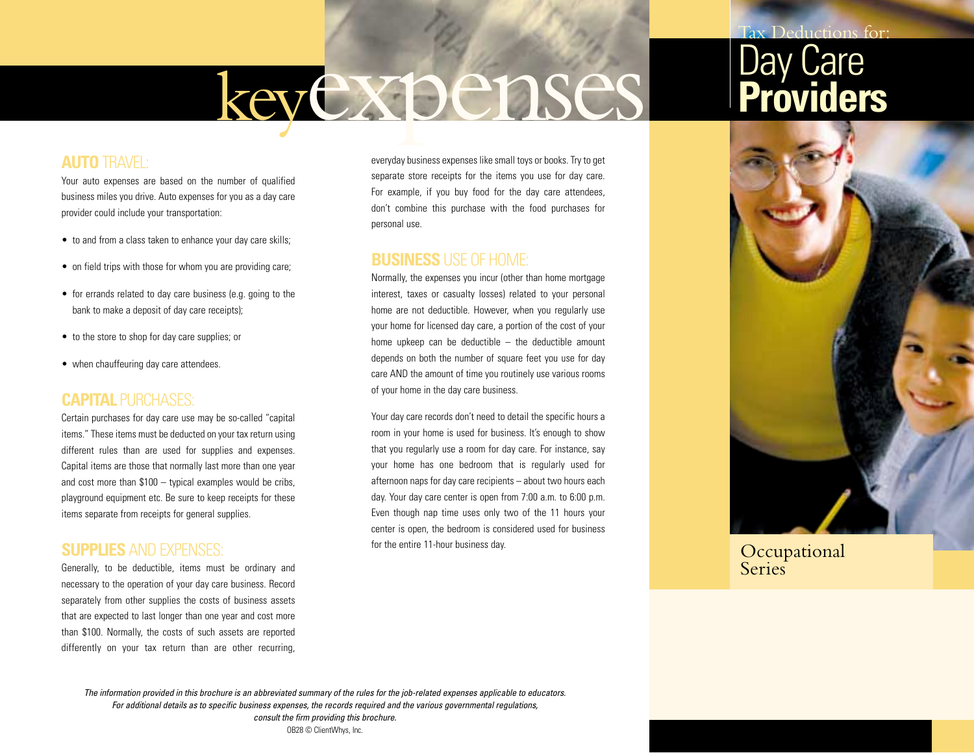# keyexpenses

### **AUTO** TRAVEL:

Your auto expenses are based on the number of qualified business miles you drive. Auto expenses for you as a day care provider could include your transportation:

- to and from a class taken to enhance your day care skills;
- on field trips with those for whom you are providing care;
- for errands related to day care business (e.g. going to the bank to make a deposit of day care receipts);
- to the store to shop for day care supplies; or
- when chauffeuring day care attendees.

#### **CAPITAL** PURCHASES:

Certain purchases for day care use may be so-called "capital items." These items must be deducted on your tax return using different rules than are used for supplies and expenses. Capital items are those that normally last more than one year and cost more than \$100 – typical examples would be cribs, playground equipment etc. Be sure to keep receipts for these items separate from receipts for general supplies.

#### **SUPPLIES** AND EXPENSES:

Generally, to be deductible, items must be ordinary and necessary to the operation of your day care business. Record separately from other supplies the costs of business assets that are expected to last longer than one year and cost more than \$100. Normally, the costs of such assets are reported differently on your tax return than are other recurring,

everyday business expenses like small toys or books. Try to get separate store receipts for the items you use for day care. For example, if you buy food for the day care attendees, don't combine this purchase with the food purchases for personal use.

#### **BUSINESS** USE OF HOME:

Normally, the expenses you incur (other than home mortgage interest, taxes or casualty losses) related to your personal home are not deductible. However, when you regularly use your home for licensed day care, a portion of the cost of your home upkeep can be deductible – the deductible amount depends on both the number of square feet you use for day care AND the amount of time you routinely use various rooms of your home in the day care business.

Your day care records don't need to detail the specific hours a room in your home is used for business. It's enough to show that you regularly use a room for day care. For instance, say your home has one bedroom that is regularly used for afternoon naps for day care recipients – about two hours each day. Your day care center is open from 7:00 a.m. to 6:00 p.m. Even though nap time uses only two of the 11 hours your center is open, the bedroom is considered used for business for the entire 11-hour business day.



Tax Deductions for:

**Occupational Series** 

*The information provided in this brochure is an abbreviated summary of the rules for the job-related expenses applicable to educators. For additional details as to specific business expenses, the records required and the various governmental regulations, consult the firm providing this brochure.*

OB28 © ClientWhys, Inc.